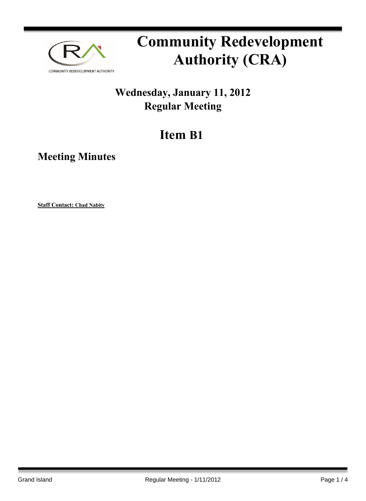

# **Community Redevelopment Authority (CRA)**

### **Wednesday, January 11, 2012 Regular Meeting**

## **Item B1**

**Meeting Minutes**

**Staff Contact: Chad Nabity**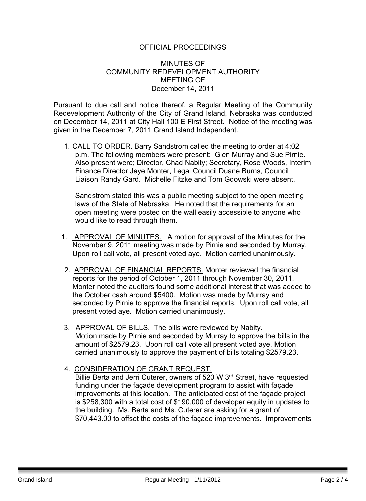#### OFFICIAL PROCEEDINGS

#### MINUTES OF COMMUNITY REDEVELOPMENT AUTHORITY MEETING OF December 14, 2011

Pursuant to due call and notice thereof, a Regular Meeting of the Community Redevelopment Authority of the City of Grand Island, Nebraska was conducted on December 14, 2011 at City Hall 100 E First Street. Notice of the meeting was given in the December 7, 2011 Grand Island Independent.

1. CALL TO ORDER. Barry Sandstrom called the meeting to order at 4:02 p.m. The following members were present: Glen Murray and Sue Pirnie. Also present were; Director, Chad Nabity; Secretary, Rose Woods, Interim Finance Director Jaye Monter, Legal Council Duane Burns, Council Liaison Randy Gard. Michelle Fitzke and Tom Gdowski were absent.

Sandstrom stated this was a public meeting subject to the open meeting laws of the State of Nebraska. He noted that the requirements for an open meeting were posted on the wall easily accessible to anyone who would like to read through them.

- 1. APPROVAL OF MINUTES. A motion for approval of the Minutes for the November 9, 2011 meeting was made by Pirnie and seconded by Murray. Upon roll call vote, all present voted aye. Motion carried unanimously.
- 2. APPROVAL OF FINANCIAL REPORTS. Monter reviewed the financial reports for the period of October 1, 2011 through November 30, 2011. Monter noted the auditors found some additional interest that was added to the October cash around \$5400. Motion was made by Murray and seconded by Pirnie to approve the financial reports. Upon roll call vote, all present voted aye. Motion carried unanimously.
- 3. APPROVAL OF BILLS. The bills were reviewed by Nabity. Motion made by Pirnie and seconded by Murray to approve the bills in the amount of \$2579.23. Upon roll call vote all present voted aye. Motion carried unanimously to approve the payment of bills totaling \$2579.23.

#### 4. CONSIDERATION OF GRANT REQUEST. Billie Berta and Jerri Cuterer, owners of 520 W 3<sup>rd</sup> Street, have requested funding under the façade development program to assist with façade improvements at this location. The anticipated cost of the façade project is \$258,300 with a total cost of \$190,000 of developer equity in updates to the building. Ms. Berta and Ms. Cuterer are asking for a grant of \$70,443.00 to offset the costs of the façade improvements. Improvements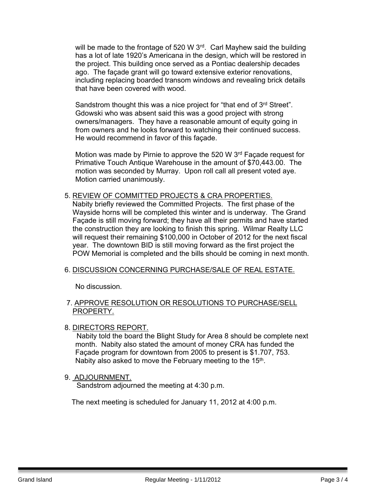will be made to the frontage of 520 W 3<sup>rd</sup>. Carl Mayhew said the building has a lot of late 1920's Americana in the design, which will be restored in the project. This building once served as a Pontiac dealership decades ago. The façade grant will go toward extensive exterior renovations, including replacing boarded transom windows and revealing brick details that have been covered with wood.

Sandstrom thought this was a nice project for "that end of 3<sup>rd</sup> Street". Gdowski who was absent said this was a good project with strong owners/managers. They have a reasonable amount of equity going in from owners and he looks forward to watching their continued success. He would recommend in favor of this façade.

Motion was made by Pirnie to approve the 520 W 3<sup>rd</sup> Façade request for Primative Touch Antique Warehouse in the amount of \$70,443.00. The motion was seconded by Murray. Upon roll call all present voted aye. Motion carried unanimously.

5. REVIEW OF COMMITTED PROJECTS & CRA PROPERTIES. Nabity briefly reviewed the Committed Projects. The first phase of the Wayside horns will be completed this winter and is underway. The Grand Façade is still moving forward; they have all their permits and have started the construction they are looking to finish this spring. Wilmar Realty LLC will request their remaining \$100,000 in October of 2012 for the next fiscal year. The downtown BID is still moving forward as the first project the POW Memorial is completed and the bills should be coming in next month.

#### 6. DISCUSSION CONCERNING PURCHASE/SALE OF REAL ESTATE.

No discussion.

#### 7. APPROVE RESOLUTION OR RESOLUTIONS TO PURCHASE/SELL PROPERTY.

#### 8. DIRECTORS REPORT.

 Nabity told the board the Blight Study for Area 8 should be complete next month. Nabity also stated the amount of money CRA has funded the Façade program for downtown from 2005 to present is \$1.707, 753. Nabity also asked to move the February meeting to the 15<sup>th</sup>.

#### 9. ADJOURNMENT.

Sandstrom adjourned the meeting at 4:30 p.m.

The next meeting is scheduled for January 11, 2012 at 4:00 p.m.